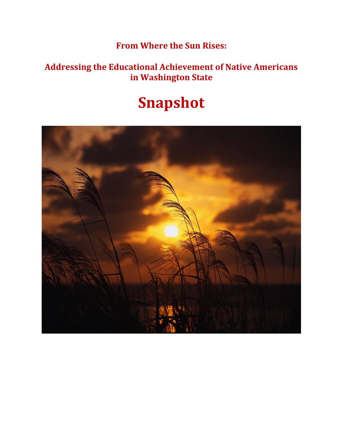## **From Where the Sun Rises:**

## **Addressing the Educational Achievement of Native Americans in Washington State**

# **Snapshot**

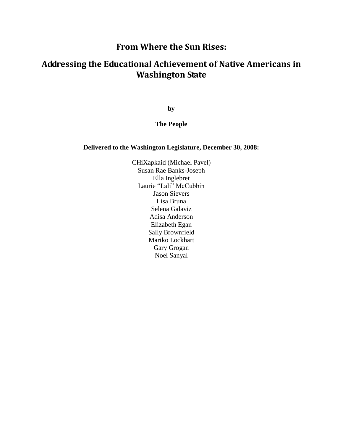### **From Where the Sun Rises:**

## **Addressing the Educational Achievement of Native Americans in Washington State**

**by**

#### **The People**

#### **Delivered to the Washington Legislature, December 30, 2008:**

CHiXapkaid (Michael Pavel) Susan Rae Banks-Joseph Ella Inglebret Laurie "Lali" McCubbin Jason Sievers Lisa Bruna Selena Galaviz Adisa Anderson Elizabeth Egan Sally Brownfield Mariko Lockhart Gary Grogan Noel Sanyal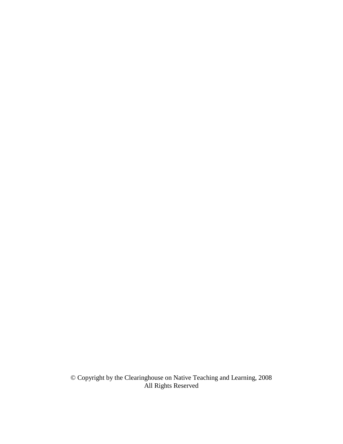© Copyright by the Clearinghouse on Native Teaching and Learning, 2008 All Rights Reserved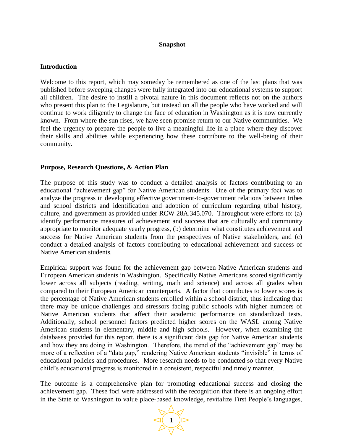#### **Snapshot**

#### **Introduction**

Welcome to this report, which may someday be remembered as one of the last plans that was published before sweeping changes were fully integrated into our educational systems to support all children. The desire to instill a pivotal nature in this document reflects not on the authors who present this plan to the Legislature, but instead on all the people who have worked and will continue to work diligently to change the face of education in Washington as it is now currently known. From where the sun rises, we have seen promise return to our Native communities. We feel the urgency to prepare the people to live a meaningful life in a place where they discover their skills and abilities while experiencing how these contribute to the well-being of their community.

#### **Purpose, Research Questions, & Action Plan**

The purpose of this study was to conduct a detailed analysis of factors contributing to an educational "achievement gap" for Native American students. One of the primary foci was to analyze the progress in developing effective government-to-government relations between tribes and school districts and identification and adoption of curriculum regarding tribal history, culture, and government as provided under RCW 28A.345.070. Throughout were efforts to: (a) identify performance measures of achievement and success that are culturally and community appropriate to monitor adequate yearly progress, (b) determine what constitutes achievement and success for Native American students from the perspectives of Native stakeholders, and (c) conduct a detailed analysis of factors contributing to educational achievement and success of Native American students.

Empirical support was found for the achievement gap between Native American students and European American students in Washington. Specifically Native Americans scored significantly lower across all subjects (reading, writing, math and science) and across all grades when compared to their European American counterparts. A factor that contributes to lower scores is the percentage of Native American students enrolled within a school district, thus indicating that there may be unique challenges and stressors facing public schools with higher numbers of Native American students that affect their academic performance on standardized tests. Additionally, school personnel factors predicted higher scores on the WASL among Native American students in elementary, middle and high schools. However, when examining the databases provided for this report, there is a significant data gap for Native American students and how they are doing in Washington. Therefore, the trend of the "achievement gap" may be more of a reflection of a "data gap," rendering Native American students "invisible" in terms of educational policies and procedures. More research needs to be conducted so that every Native child's educational progress is monitored in a consistent, respectful and timely manner.

The outcome is a comprehensive plan for promoting educational success and closing the achievement gap. These foci were addressed with the recognition that there is an ongoing effort in the State of Washington to value place-based knowledge, revitalize First People's languages,

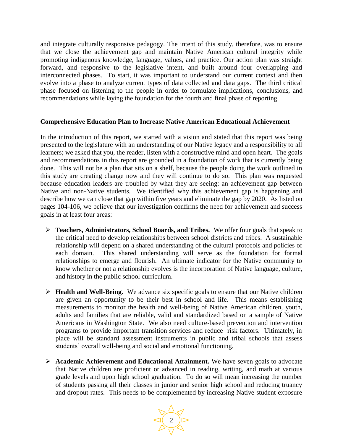and integrate culturally responsive pedagogy. The intent of this study, therefore, was to ensure that we close the achievement gap and maintain Native American cultural integrity while promoting indigenous knowledge, language, values, and practice. Our action plan was straight forward, and responsive to the legislative intent, and built around four overlapping and interconnected phases. To start, it was important to understand our current context and then evolve into a phase to analyze current types of data collected and data gaps. The third critical phase focused on listening to the people in order to formulate implications, conclusions, and recommendations while laying the foundation for the fourth and final phase of reporting.

#### **Comprehensive Education Plan to Increase Native American Educational Achievement**

In the introduction of this report, we started with a vision and stated that this report was being presented to the legislature with an understanding of our Native legacy and a responsibility to all learners; we asked that you, the reader, listen with a constructive mind and open heart. The goals and recommendations in this report are grounded in a foundation of work that is currently being done. This will not be a plan that sits on a shelf, because the people doing the work outlined in this study are creating change now and they will continue to do so. This plan was requested because education leaders are troubled by what they are seeing: an achievement gap between Native and non-Native students. We identified why this achievement gap is happening and describe how we can close that gap within five years and eliminate the gap by 2020. As listed on pages 104-106, we believe that our investigation confirms the need for achievement and success goals in at least four areas:

- **Teachers, Administrators, School Boards, and Tribes.** We offer four goals that speak to the critical need to develop relationships between school districts and tribes. A sustainable relationship will depend on a shared understanding of the cultural protocols and policies of each domain. This shared understanding will serve as the foundation for formal relationships to emerge and flourish. An ultimate indicator for the Native community to know whether or not a relationship evolves is the incorporation of Native language, culture, and history in the public school curriculum.
- **Health and Well-Being.** We advance six specific goals to ensure that our Native children are given an opportunity to be their best in school and life. This means establishing measurements to monitor the health and well-being of Native American children, youth, adults and families that are reliable, valid and standardized based on a sample of Native Americans in Washington State. We also need culture-based prevention and intervention programs to provide important transition services and reduce risk factors. Ultimately, in place will be standard assessment instruments in public and tribal schools that assess students' overall well-being and social and emotional functioning.
- **Academic Achievement and Educational Attainment.** We have seven goals to advocate that Native children are proficient or advanced in reading, writing, and math at various grade levels and upon high school graduation. To do so will mean increasing the number of students passing all their classes in junior and senior high school and reducing truancy and dropout rates. This needs to be complemented by increasing Native student exposure

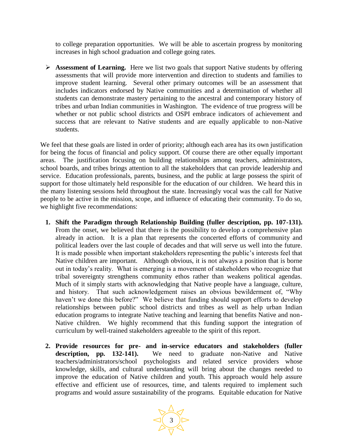to college preparation opportunities. We will be able to ascertain progress by monitoring increases in high school graduation and college going rates.

**► Assessment of Learning.** Here we list two goals that support Native students by offering assessments that will provide more intervention and direction to students and families to improve student learning. Several other primary outcomes will be an assessment that includes indicators endorsed by Native communities and a determination of whether all students can demonstrate mastery pertaining to the ancestral and contemporary history of tribes and urban Indian communities in Washington. The evidence of true progress will be whether or not public school districts and OSPI embrace indicators of achievement and success that are relevant to Native students and are equally applicable to non-Native students.

We feel that these goals are listed in order of priority; although each area has its own justification for being the focus of financial and policy support. Of course there are other equally important areas. The justification focusing on building relationships among teachers, administrators, school boards, and tribes brings attention to all the stakeholders that can provide leadership and service. Education professionals, parents, business, and the public at large possess the spirit of support for those ultimately held responsible for the education of our children. We heard this in the many listening sessions held throughout the state. Increasingly vocal was the call for Native people to be active in the mission, scope, and influence of educating their community. To do so, we highlight five recommendations:

- **1. Shift the Paradigm through Relationship Building (fuller description, pp. 107-131).**  From the onset, we believed that there is the possibility to develop a comprehensive plan already in action. It is a plan that represents the concerted efforts of community and political leaders over the last couple of decades and that will serve us well into the future. It is made possible when important stakeholders representing the public's interests feel that Native children are important. Although obvious, it is not always a position that is borne out in today's reality. What is emerging is a movement of stakeholders who recognize that tribal sovereignty strengthens community ethos rather than weakens political agendas. Much of it simply starts with acknowledging that Native people have a language, culture, and history. That such acknowledgement raises an obvious bewilderment of, "Why haven't we done this before?" We believe that funding should support efforts to develop relationships between public school districts and tribes as well as help urban Indian education programs to integrate Native teaching and learning that benefits Native and non-Native children. We highly recommend that this funding support the integration of curriculum by well-trained stakeholders agreeable to the spirit of this report.
- **2. Provide resources for pre- and in-service educators and stakeholders (fuller description, pp. 132-141).** We need to graduate non-Native and Native teachers/administrators/school psychologists and related service providers whose knowledge, skills, and cultural understanding will bring about the changes needed to improve the education of Native children and youth. This approach would help assure effective and efficient use of resources, time, and talents required to implement such programs and would assure sustainability of the programs. Equitable education for Native

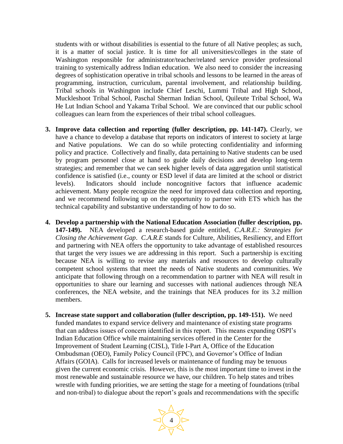students with or without disabilities is essential to the future of all Native peoples; as such, it is a matter of social justice. It is time for all universities/colleges in the state of Washington responsible for administrator/teacher/related service provider professional training to systemically address Indian education. We also need to consider the increasing degrees of sophistication operative in tribal schools and lessons to be learned in the areas of programming, instruction, curriculum, parental involvement, and relationship building. Tribal schools in Washington include Chief Leschi, Lummi Tribal and High School, Muckleshoot Tribal School, Paschal Sherman Indian School, Quileute Tribal School, Wa He Lut Indian School and Yakama Tribal School. We are convinced that our public school colleagues can learn from the experiences of their tribal school colleagues.

- **3. Improve data collection and reporting (fuller description, pp. 141-147).** Clearly, we have a chance to develop a database that reports on indicators of interest to society at large and Native populations. We can do so while protecting confidentiality and informing policy and practice. Collectively and finally, data pertaining to Native students can be used by program personnel close at hand to guide daily decisions and develop long-term strategies; and remember that we can seek higher levels of data aggregation until statistical confidence is satisfied (i.e., county or ESD level if data are limited at the school or district levels). Indicators should include noncognitive factors that influence academic achievement. Many people recognize the need for improved data collection and reporting, and we recommend following up on the opportunity to partner with ETS which has the technical capability and substantive understanding of how to do so.
- **4. Develop a partnership with the National Education Association (fuller description, pp. 147-149).** NEA developed a research-based guide entitled, *C.A.R.E.: Strategies for Closing the Achievement Gap*. *C.A.R.E* stands for Culture, Abilities, Resiliency, and Effort and partnering with NEA offers the opportunity to take advantage of established resources that target the very issues we are addressing in this report. Such a partnership is exciting because NEA is willing to revise any materials and resources to develop culturally competent school systems that meet the needs of Native students and communities. We anticipate that following through on a recommendation to partner with NEA will result in opportunities to share our learning and successes with national audiences through NEA conferences, the NEA website, and the trainings that NEA produces for its 3.2 million members.
- **5. Increase state support and collaboration (fuller description, pp. 149-151).** We need funded mandates to expand service delivery and maintenance of existing state programs that can address issues of concern identified in this report. This means expanding OSPI's Indian Education Office while maintaining services offered in the Center for the Improvement of Student Learning (CISL), Title I-Part A, Office of the Education Ombudsman (OEO), Family Policy Council (FPC), and Governor's Office of Indian Affairs (GOIA). Calls for increased levels or maintenance of funding may be tenuous given the current economic crisis. However, this is the most important time to invest in the most renewable and sustainable resource we have, our children. To help states and tribes wrestle with funding priorities, we are setting the stage for a meeting of foundations (tribal and non-tribal) to dialogue about the report's goals and recommendations with the specific